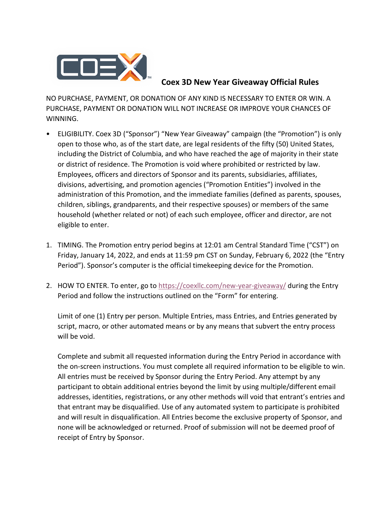

## **Coex 3D New Year Giveaway Official Rules**

NO PURCHASE, PAYMENT, OR DONATION OF ANY KIND IS NECESSARY TO ENTER OR WIN. A PURCHASE, PAYMENT OR DONATION WILL NOT INCREASE OR IMPROVE YOUR CHANCES OF WINNING.

- ELIGIBILITY. Coex 3D ("Sponsor") "New Year Giveaway" campaign (the "Promotion") is only open to those who, as of the start date, are legal residents of the fifty (50) United States, including the District of Columbia, and who have reached the age of majority in their state or district of residence. The Promotion is void where prohibited or restricted by law. Employees, officers and directors of Sponsor and its parents, subsidiaries, affiliates, divisions, advertising, and promotion agencies ("Promotion Entities") involved in the administration of this Promotion, and the immediate families (defined as parents, spouses, children, siblings, grandparents, and their respective spouses) or members of the same household (whether related or not) of each such employee, officer and director, are not eligible to enter.
- 1. TIMING. The Promotion entry period begins at 12:01 am Central Standard Time ("CST") on Friday, January 14, 2022, and ends at 11:59 pm CST on Sunday, February 6, 2022 (the "Entry Period"). Sponsor's computer is the official timekeeping device for the Promotion.
- 2. HOW TO ENTER. To enter, go to<https://coexllc.com/new-year-giveaway/> during the Entry Period and follow the instructions outlined on the "Form" for entering.

Limit of one (1) Entry per person. Multiple Entries, mass Entries, and Entries generated by script, macro, or other automated means or by any means that subvert the entry process will be void.

Complete and submit all requested information during the Entry Period in accordance with the on-screen instructions. You must complete all required information to be eligible to win. All entries must be received by Sponsor during the Entry Period. Any attempt by any participant to obtain additional entries beyond the limit by using multiple/different email addresses, identities, registrations, or any other methods will void that entrant's entries and that entrant may be disqualified. Use of any automated system to participate is prohibited and will result in disqualification. All Entries become the exclusive property of Sponsor, and none will be acknowledged or returned. Proof of submission will not be deemed proof of receipt of Entry by Sponsor.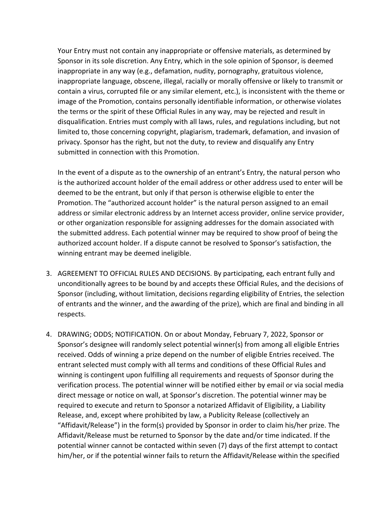Your Entry must not contain any inappropriate or offensive materials, as determined by Sponsor in its sole discretion. Any Entry, which in the sole opinion of Sponsor, is deemed inappropriate in any way (e.g., defamation, nudity, pornography, gratuitous violence, inappropriate language, obscene, illegal, racially or morally offensive or likely to transmit or contain a virus, corrupted file or any similar element, etc.), is inconsistent with the theme or image of the Promotion, contains personally identifiable information, or otherwise violates the terms or the spirit of these Official Rules in any way, may be rejected and result in disqualification. Entries must comply with all laws, rules, and regulations including, but not limited to, those concerning copyright, plagiarism, trademark, defamation, and invasion of privacy. Sponsor has the right, but not the duty, to review and disqualify any Entry submitted in connection with this Promotion.

In the event of a dispute as to the ownership of an entrant's Entry, the natural person who is the authorized account holder of the email address or other address used to enter will be deemed to be the entrant, but only if that person is otherwise eligible to enter the Promotion. The "authorized account holder" is the natural person assigned to an email address or similar electronic address by an Internet access provider, online service provider, or other organization responsible for assigning addresses for the domain associated with the submitted address. Each potential winner may be required to show proof of being the authorized account holder. If a dispute cannot be resolved to Sponsor's satisfaction, the winning entrant may be deemed ineligible.

- 3. AGREEMENT TO OFFICIAL RULES AND DECISIONS. By participating, each entrant fully and unconditionally agrees to be bound by and accepts these Official Rules, and the decisions of Sponsor (including, without limitation, decisions regarding eligibility of Entries, the selection of entrants and the winner, and the awarding of the prize), which are final and binding in all respects.
- 4. DRAWING; ODDS; NOTIFICATION. On or about Monday, February 7, 2022, Sponsor or Sponsor's designee will randomly select potential winner(s) from among all eligible Entries received. Odds of winning a prize depend on the number of eligible Entries received. The entrant selected must comply with all terms and conditions of these Official Rules and winning is contingent upon fulfilling all requirements and requests of Sponsor during the verification process. The potential winner will be notified either by email or via social media direct message or notice on wall, at Sponsor's discretion. The potential winner may be required to execute and return to Sponsor a notarized Affidavit of Eligibility, a Liability Release, and, except where prohibited by law, a Publicity Release (collectively an "Affidavit/Release") in the form(s) provided by Sponsor in order to claim his/her prize. The Affidavit/Release must be returned to Sponsor by the date and/or time indicated. If the potential winner cannot be contacted within seven (7) days of the first attempt to contact him/her, or if the potential winner fails to return the Affidavit/Release within the specified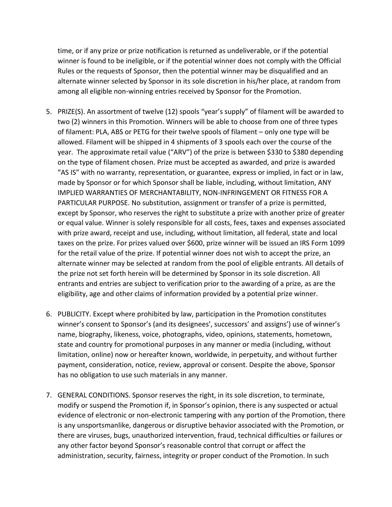time, or if any prize or prize notification is returned as undeliverable, or if the potential winner is found to be ineligible, or if the potential winner does not comply with the Official Rules or the requests of Sponsor, then the potential winner may be disqualified and an alternate winner selected by Sponsor in its sole discretion in his/her place, at random from among all eligible non-winning entries received by Sponsor for the Promotion.

- 5. PRIZE(S). An assortment of twelve (12) spools "year's supply" of filament will be awarded to two (2) winners in this Promotion. Winners will be able to choose from one of three types of filament: PLA, ABS or PETG for their twelve spools of filament – only one type will be allowed. Filament will be shipped in 4 shipments of 3 spools each over the course of the year. The approximate retail value ("ARV") of the prize is between \$330 to \$380 depending on the type of filament chosen. Prize must be accepted as awarded, and prize is awarded "AS IS" with no warranty, representation, or guarantee, express or implied, in fact or in law, made by Sponsor or for which Sponsor shall be liable, including, without limitation, ANY IMPLIED WARRANTIES OF MERCHANTABILITY, NON-INFRINGEMENT OR FITNESS FOR A PARTICULAR PURPOSE. No substitution, assignment or transfer of a prize is permitted, except by Sponsor, who reserves the right to substitute a prize with another prize of greater or equal value. Winner is solely responsible for all costs, fees, taxes and expenses associated with prize award, receipt and use, including, without limitation, all federal, state and local taxes on the prize. For prizes valued over \$600, prize winner will be issued an IRS Form 1099 for the retail value of the prize. If potential winner does not wish to accept the prize, an alternate winner may be selected at random from the pool of eligible entrants. All details of the prize not set forth herein will be determined by Sponsor in its sole discretion. All entrants and entries are subject to verification prior to the awarding of a prize, as are the eligibility, age and other claims of information provided by a potential prize winner.
- 6. PUBLICITY. Except where prohibited by law, participation in the Promotion constitutes winner's consent to Sponsor's (and its designees', successors' and assigns') use of winner's name, biography, likeness, voice, photographs, video, opinions, statements, hometown, state and country for promotional purposes in any manner or media (including, without limitation, online) now or hereafter known, worldwide, in perpetuity, and without further payment, consideration, notice, review, approval or consent. Despite the above, Sponsor has no obligation to use such materials in any manner.
- 7. GENERAL CONDITIONS. Sponsor reserves the right, in its sole discretion, to terminate, modify or suspend the Promotion if, in Sponsor's opinion, there is any suspected or actual evidence of electronic or non-electronic tampering with any portion of the Promotion, there is any unsportsmanlike, dangerous or disruptive behavior associated with the Promotion, or there are viruses, bugs, unauthorized intervention, fraud, technical difficulties or failures or any other factor beyond Sponsor's reasonable control that corrupt or affect the administration, security, fairness, integrity or proper conduct of the Promotion. In such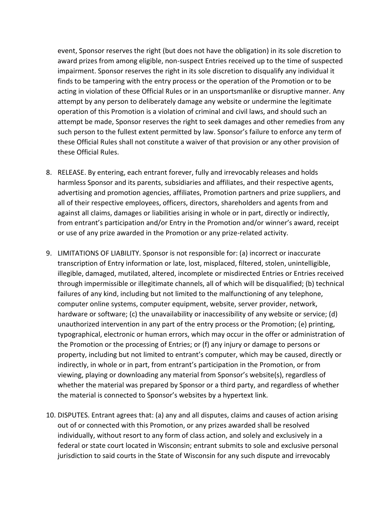event, Sponsor reserves the right (but does not have the obligation) in its sole discretion to award prizes from among eligible, non-suspect Entries received up to the time of suspected impairment. Sponsor reserves the right in its sole discretion to disqualify any individual it finds to be tampering with the entry process or the operation of the Promotion or to be acting in violation of these Official Rules or in an unsportsmanlike or disruptive manner. Any attempt by any person to deliberately damage any website or undermine the legitimate operation of this Promotion is a violation of criminal and civil laws, and should such an attempt be made, Sponsor reserves the right to seek damages and other remedies from any such person to the fullest extent permitted by law. Sponsor's failure to enforce any term of these Official Rules shall not constitute a waiver of that provision or any other provision of these Official Rules.

- 8. RELEASE. By entering, each entrant forever, fully and irrevocably releases and holds harmless Sponsor and its parents, subsidiaries and affiliates, and their respective agents, advertising and promotion agencies, affiliates, Promotion partners and prize suppliers, and all of their respective employees, officers, directors, shareholders and agents from and against all claims, damages or liabilities arising in whole or in part, directly or indirectly, from entrant's participation and/or Entry in the Promotion and/or winner's award, receipt or use of any prize awarded in the Promotion or any prize-related activity.
- 9. LIMITATIONS OF LIABILITY. Sponsor is not responsible for: (a) incorrect or inaccurate transcription of Entry information or late, lost, misplaced, filtered, stolen, unintelligible, illegible, damaged, mutilated, altered, incomplete or misdirected Entries or Entries received through impermissible or illegitimate channels, all of which will be disqualified; (b) technical failures of any kind, including but not limited to the malfunctioning of any telephone, computer online systems, computer equipment, website, server provider, network, hardware or software; (c) the unavailability or inaccessibility of any website or service; (d) unauthorized intervention in any part of the entry process or the Promotion; (e) printing, typographical, electronic or human errors, which may occur in the offer or administration of the Promotion or the processing of Entries; or (f) any injury or damage to persons or property, including but not limited to entrant's computer, which may be caused, directly or indirectly, in whole or in part, from entrant's participation in the Promotion, or from viewing, playing or downloading any material from Sponsor's website(s), regardless of whether the material was prepared by Sponsor or a third party, and regardless of whether the material is connected to Sponsor's websites by a hypertext link.
- 10. DISPUTES. Entrant agrees that: (a) any and all disputes, claims and causes of action arising out of or connected with this Promotion, or any prizes awarded shall be resolved individually, without resort to any form of class action, and solely and exclusively in a federal or state court located in Wisconsin; entrant submits to sole and exclusive personal jurisdiction to said courts in the State of Wisconsin for any such dispute and irrevocably